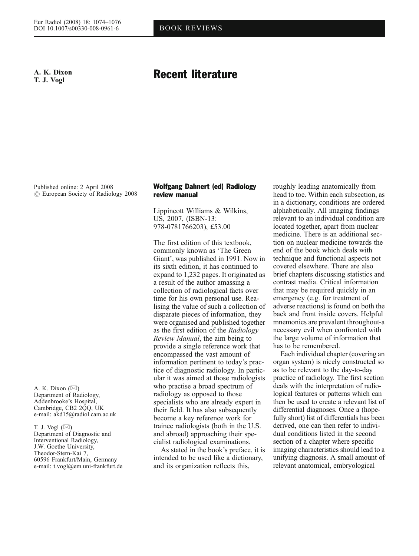# A. K. Dixon T. J. Vogl

# Recent literature

Published online: 2 April 2008  $\circ$  European Society of Radiology 2008

A. K. Dixon  $(\boxtimes)$ Department of Radiology, Addenbrooke*'*s Hospital, Cambridge, CB2 2QQ, UK e-mail: akd15@radiol.cam.ac.uk

T. J. Vogl  $(\boxtimes)$ Department of Diagnostic and Interventional Radiology, J.W. Goethe University, Theodor-Stern-Kai 7, 60596 Frankfurt/Main, Germany e-mail: t.vogl@em.uni-frankfurt.de

#### Wolfgang Dahnert (ed) Radiology review manual

Lippincott Williams & Wilkins, US, 2007, (ISBN-13: 978-0781766203), £53.00

The first edition of this textbook, commonly known as 'The Green Giant', was published in 1991. Now in its sixth edition, it has continued to expand to 1,232 pages. It originated as a result of the author amassing a collection of radiological facts over time for his own personal use. Realising the value of such a collection of disparate pieces of information, they were organised and published together as the first edition of the Radiology Review Manual, the aim being to provide a single reference work that encompassed the vast amount of information pertinent to today's practice of diagnostic radiology. In particular it was aimed at those radiologists who practise a broad spectrum of radiology as opposed to those specialists who are already expert in their field. It has also subsequently become a key reference work for trainee radiologists (both in the U.S. and abroad) approaching their specialist radiological examinations.

As stated in the book's preface, it is intended to be used like a dictionary, and its organization reflects this,

roughly leading anatomically from head to toe. Within each subsection, as in a dictionary, conditions are ordered alphabetically. All imaging findings relevant to an individual condition are located together, apart from nuclear medicine. There is an additional section on nuclear medicine towards the end of the book which deals with technique and functional aspects not covered elsewhere. There are also brief chapters discussing statistics and contrast media. Critical information that may be required quickly in an emergency (e.g. for treatment of adverse reactions) is found on both the back and front inside covers. Helpful mnemonics are prevalent throughout-a necessary evil when confronted with the large volume of information that has to be remembered.

Each individual chapter (covering an organ system) is nicely constructed so as to be relevant to the day-to-day practice of radiology. The first section deals with the interpretation of radiological features or patterns which can then be used to create a relevant list of differential diagnoses. Once a (hopefully short) list of differentials has been derived, one can then refer to individual conditions listed in the second section of a chapter where specific imaging characteristics should lead to a unifying diagnosis. A small amount of relevant anatomical, embryological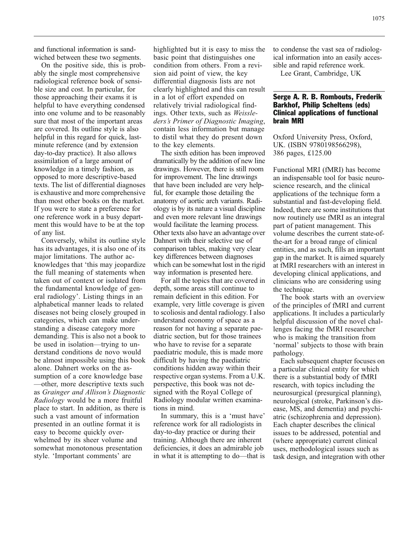and functional information is sandwiched between these two segments.

On the positive side, this is probably the single most comprehensive radiological reference book of sensible size and cost. In particular, for those approaching their exams it is helpful to have everything condensed into one volume and to be reasonably sure that most of the important areas are covered. Its outline style is also helpful in this regard for quick, lastminute reference (and by extension day-to-day practice). It also allows assimilation of a large amount of knowledge in a timely fashion, as opposed to more descriptive-based texts. The list of differential diagnoses is exhaustive and more comprehensive than most other books on the market. If you were to state a preference for one reference work in a busy department this would have to be at the top of any list.

Conversely, whilst its outline style has its advantages, it is also one of its major limitations. The author acknowledges that 'this may jeopardize the full meaning of statements when taken out of context or isolated from the fundamental knowledge of general radiology'. Listing things in an alphabetical manner leads to related diseases not being closely grouped in categories, which can make understanding a disease category more demanding. This is also not a book to be used in isolation—trying to understand conditions de novo would be almost impossible using this book alone. Dahnert works on the assumption of a core knowledge base —other, more descriptive texts such as Grainger and Allison's Diagnostic Radiology would be a more fruitful place to start. In addition, as there is such a vast amount of information presented in an outline format it is easy to become quickly overwhelmed by its sheer volume and somewhat monotonous presentation style. 'Important comments' are

highlighted but it is easy to miss the basic point that distinguishes one condition from others. From a revision aid point of view, the key differential diagnosis lists are not clearly highlighted and this can result in a lot of effort expended on relatively trivial radiological findings. Other texts, such as Weissleders's Primer of Diagnostic Imaging, contain less information but manage to distil what they do present down to the key elements.

The sixth edition has been improved dramatically by the addition of new line drawings. However, there is still room for improvement. The line drawings that have been included are very helpful, for example those detailing the anatomy of aortic arch variants. Radiology is by its nature a visual discipline and even more relevant line drawings would facilitate the learning process. Other texts also have an advantage over Dahnert with their selective use of comparison tables, making very clear key differences between diagnoses which can be somewhat lost in the rigid way information is presented here.

For all the topics that are covered in depth, some areas still continue to remain deficient in this edition. For example, very little coverage is given to scoliosis and dental radiology. I also understand economy of space as a reason for not having a separate paediatric section, but for those trainees who have to revise for a separate paediatric module, this is made more difficult by having the paediatric conditions hidden away within their respective organ systems. From a U.K. perspective, this book was not designed with the Royal College of Radiology modular written examinations in mind.

In summary, this is a 'must have' reference work for all radiologists in day-to-day practice or during their training. Although there are inherent deficiencies, it does an admirable job in what it is attempting to do—that is to condense the vast sea of radiological information into an easily accessible and rapid reference work.

Lee Grant, Cambridge, UK

## Serge A. R. B. Rombouts, Frederik Barkhof, Philip Scheltens (eds) Clinical applications of functional brain MRI

Oxford University Press, Oxford, UK. (ISBN 9780198566298), 386 pages, £125.00

Functional MRI (fMRI) has become an indispensable tool for basic neuroscience research, and the clinical applications of the technique form a substantial and fast-developing field. Indeed, there are some institutions that now routinely use fMRI as an integral part of patient management. This volume describes the current state-ofthe-art for a broad range of clinical entities, and as such, fills an important gap in the market. It is aimed squarely at fMRI researchers with an interest in developing clinical applications, and clinicians who are considering using the technique.

The book starts with an overview of the principles of fMRI and current applications. It includes a particularly helpful discussion of the novel challenges facing the fMRI researcher who is making the transition from 'normal' subjects to those with brain pathology.

Each subsequent chapter focuses on a particular clinical entity for which there is a substantial body of fMRI research, with topics including the neurosurgical (presurgical planning), neurological (stroke, Parkinson's disease, MS, and dementia) and psychiatric (schizophrenia and depression). Each chapter describes the clinical issues to be addressed, potential and (where appropriate) current clinical uses, methodological issues such as task design, and integration with other